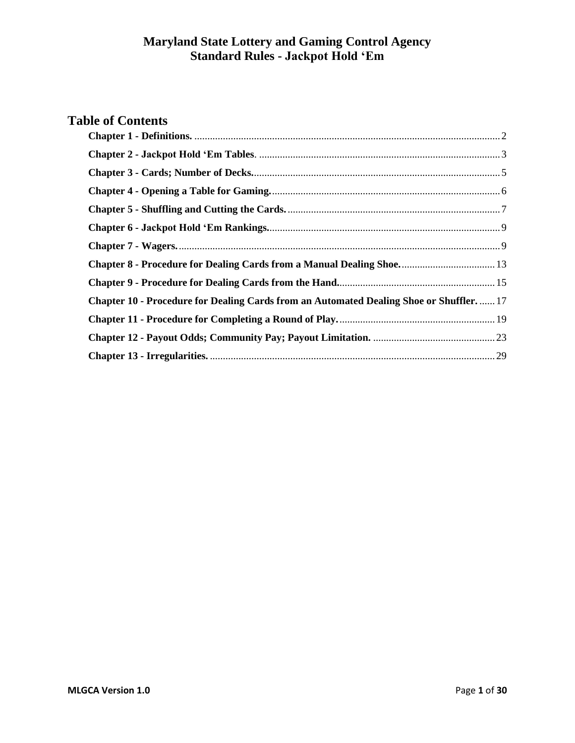# **Table of Contents**

<span id="page-0-0"></span>

| <b>Chapter 8 - Procedure for Dealing Cards from a Manual Dealing Shoe</b> 13<br>Chapter 10 - Procedure for Dealing Cards from an Automated Dealing Shoe or Shuffler 17 |  |
|------------------------------------------------------------------------------------------------------------------------------------------------------------------------|--|
|                                                                                                                                                                        |  |
|                                                                                                                                                                        |  |
|                                                                                                                                                                        |  |
|                                                                                                                                                                        |  |
|                                                                                                                                                                        |  |
|                                                                                                                                                                        |  |
|                                                                                                                                                                        |  |
|                                                                                                                                                                        |  |
|                                                                                                                                                                        |  |
|                                                                                                                                                                        |  |
|                                                                                                                                                                        |  |
|                                                                                                                                                                        |  |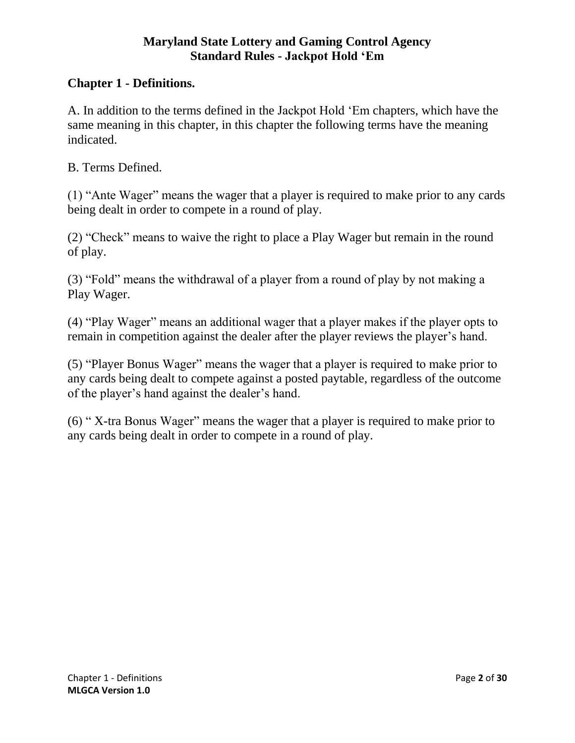# **Chapter 1 - Definitions.**

A. In addition to the terms defined in the Jackpot Hold 'Em chapters, which have the same meaning in this chapter, in this chapter the following terms have the meaning indicated.

B. Terms Defined.

(1) "Ante Wager" means the wager that a player is required to make prior to any cards being dealt in order to compete in a round of play.

(2) "Check" means to waive the right to place a Play Wager but remain in the round of play.

(3) "Fold" means the withdrawal of a player from a round of play by not making a Play Wager.

(4) "Play Wager" means an additional wager that a player makes if the player opts to remain in competition against the dealer after the player reviews the player's hand.

(5) "Player Bonus Wager" means the wager that a player is required to make prior to any cards being dealt to compete against a posted paytable, regardless of the outcome of the player's hand against the dealer's hand.

<span id="page-1-0"></span>(6) " X-tra Bonus Wager" means the wager that a player is required to make prior to any cards being dealt in order to compete in a round of play.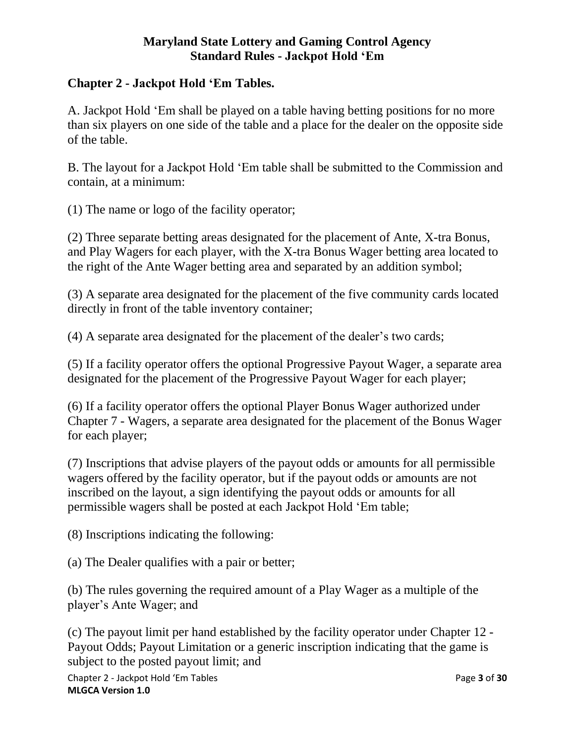## **Chapter 2 - Jackpot Hold 'Em Tables.**

A. Jackpot Hold 'Em shall be played on a table having betting positions for no more than six players on one side of the table and a place for the dealer on the opposite side of the table.

B. The layout for a Jackpot Hold 'Em table shall be submitted to the Commission and contain, at a minimum:

(1) The name or logo of the facility operator;

(2) Three separate betting areas designated for the placement of Ante, X-tra Bonus, and Play Wagers for each player, with the X-tra Bonus Wager betting area located to the right of the Ante Wager betting area and separated by an addition symbol;

(3) A separate area designated for the placement of the five community cards located directly in front of the table inventory container;

(4) A separate area designated for the placement of the dealer's two cards;

(5) If a facility operator offers the optional Progressive Payout Wager, a separate area designated for the placement of the Progressive Payout Wager for each player;

(6) If a facility operator offers the optional Player Bonus Wager authorized under Chapter 7 - Wagers, a separate area designated for the placement of the Bonus Wager for each player;

(7) Inscriptions that advise players of the payout odds or amounts for all permissible wagers offered by the facility operator, but if the payout odds or amounts are not inscribed on the layout, a sign identifying the payout odds or amounts for all permissible wagers shall be posted at each Jackpot Hold 'Em table;

(8) Inscriptions indicating the following:

(a) The Dealer qualifies with a pair or better;

(b) The rules governing the required amount of a Play Wager as a multiple of the player's Ante Wager; and

(c) The payout limit per hand established by the facility operator under Chapter 12 - Payout Odds; Payout Limitation or a generic inscription indicating that the game is subject to the posted payout limit; and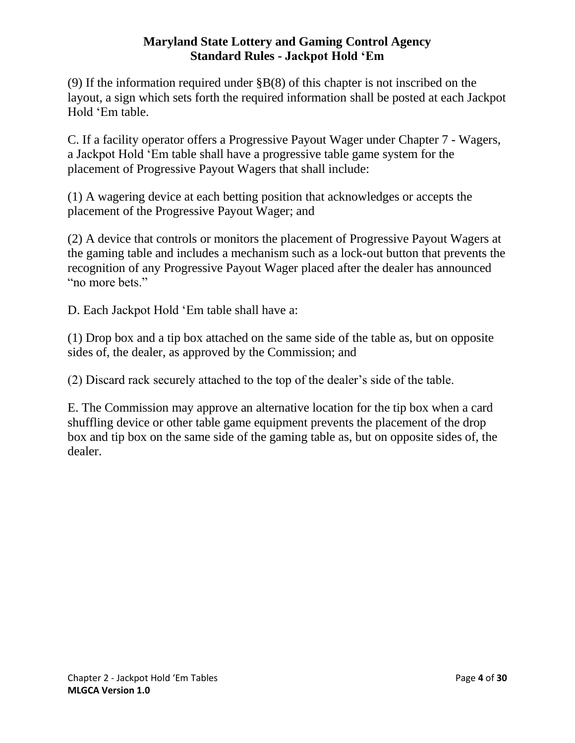(9) If the information required under §B(8) of this chapter is not inscribed on the layout, a sign which sets forth the required information shall be posted at each Jackpot Hold 'Em table.

C. If a facility operator offers a Progressive Payout Wager under Chapter 7 - Wagers, a Jackpot Hold 'Em table shall have a progressive table game system for the placement of Progressive Payout Wagers that shall include:

(1) A wagering device at each betting position that acknowledges or accepts the placement of the Progressive Payout Wager; and

(2) A device that controls or monitors the placement of Progressive Payout Wagers at the gaming table and includes a mechanism such as a lock-out button that prevents the recognition of any Progressive Payout Wager placed after the dealer has announced "no more bets."

D. Each Jackpot Hold 'Em table shall have a:

(1) Drop box and a tip box attached on the same side of the table as, but on opposite sides of, the dealer, as approved by the Commission; and

(2) Discard rack securely attached to the top of the dealer's side of the table.

<span id="page-3-0"></span>E. The Commission may approve an alternative location for the tip box when a card shuffling device or other table game equipment prevents the placement of the drop box and tip box on the same side of the gaming table as, but on opposite sides of, the dealer.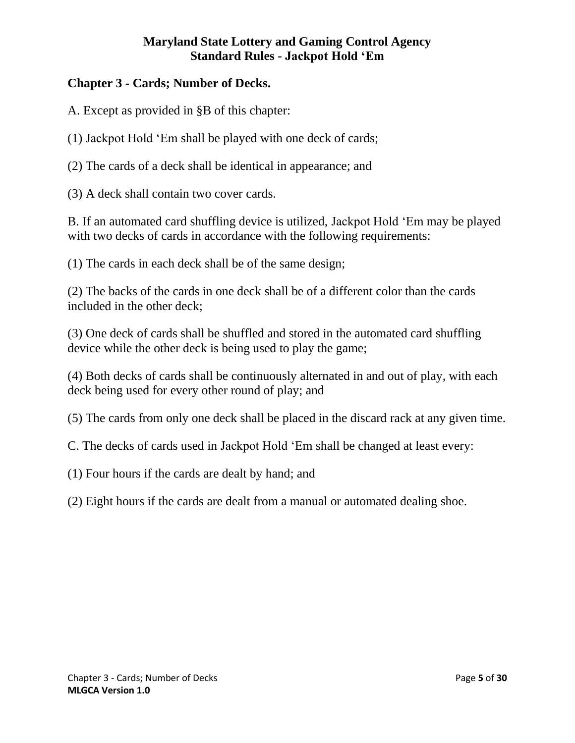## **Chapter 3 - Cards; Number of Decks.**

A. Except as provided in §B of this chapter:

(1) Jackpot Hold 'Em shall be played with one deck of cards;

(2) The cards of a deck shall be identical in appearance; and

(3) A deck shall contain two cover cards.

B. If an automated card shuffling device is utilized, Jackpot Hold 'Em may be played with two decks of cards in accordance with the following requirements:

(1) The cards in each deck shall be of the same design;

(2) The backs of the cards in one deck shall be of a different color than the cards included in the other deck;

(3) One deck of cards shall be shuffled and stored in the automated card shuffling device while the other deck is being used to play the game;

(4) Both decks of cards shall be continuously alternated in and out of play, with each deck being used for every other round of play; and

(5) The cards from only one deck shall be placed in the discard rack at any given time.

C. The decks of cards used in Jackpot Hold 'Em shall be changed at least every:

(1) Four hours if the cards are dealt by hand; and

<span id="page-4-0"></span>(2) Eight hours if the cards are dealt from a manual or automated dealing shoe.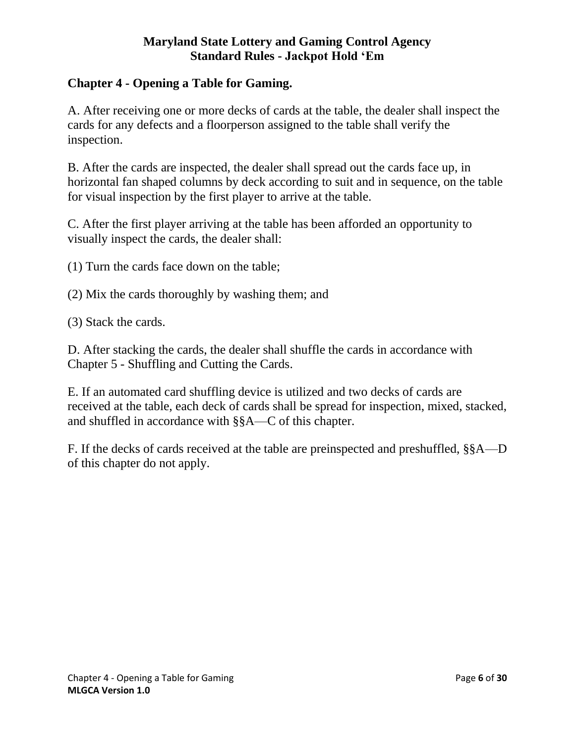## **Chapter 4 - Opening a Table for Gaming.**

A. After receiving one or more decks of cards at the table, the dealer shall inspect the cards for any defects and a floorperson assigned to the table shall verify the inspection.

B. After the cards are inspected, the dealer shall spread out the cards face up, in horizontal fan shaped columns by deck according to suit and in sequence, on the table for visual inspection by the first player to arrive at the table.

C. After the first player arriving at the table has been afforded an opportunity to visually inspect the cards, the dealer shall:

(1) Turn the cards face down on the table;

- (2) Mix the cards thoroughly by washing them; and
- (3) Stack the cards.

D. After stacking the cards, the dealer shall shuffle the cards in accordance with Chapter 5 - Shuffling and Cutting the Cards.

E. If an automated card shuffling device is utilized and two decks of cards are received at the table, each deck of cards shall be spread for inspection, mixed, stacked, and shuffled in accordance with §§A—C of this chapter.

<span id="page-5-0"></span>F. If the decks of cards received at the table are preinspected and preshuffled, §§A—D of this chapter do not apply.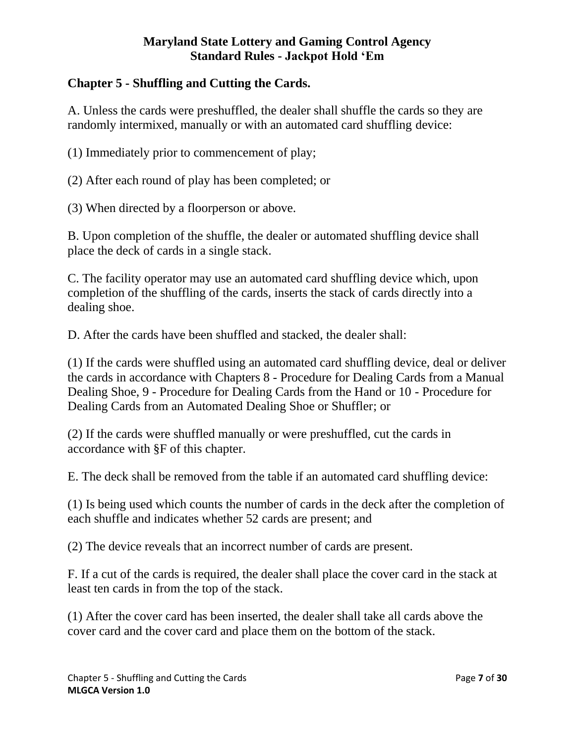# **Chapter 5 - Shuffling and Cutting the Cards.**

A. Unless the cards were preshuffled, the dealer shall shuffle the cards so they are randomly intermixed, manually or with an automated card shuffling device:

(1) Immediately prior to commencement of play;

(2) After each round of play has been completed; or

(3) When directed by a floorperson or above.

B. Upon completion of the shuffle, the dealer or automated shuffling device shall place the deck of cards in a single stack.

C. The facility operator may use an automated card shuffling device which, upon completion of the shuffling of the cards, inserts the stack of cards directly into a dealing shoe.

D. After the cards have been shuffled and stacked, the dealer shall:

(1) If the cards were shuffled using an automated card shuffling device, deal or deliver the cards in accordance with Chapters 8 - Procedure for Dealing Cards from a Manual Dealing Shoe, 9 - Procedure for Dealing Cards from the Hand or 10 - Procedure for Dealing Cards from an Automated Dealing Shoe or Shuffler; or

(2) If the cards were shuffled manually or were preshuffled, cut the cards in accordance with §F of this chapter.

E. The deck shall be removed from the table if an automated card shuffling device:

(1) Is being used which counts the number of cards in the deck after the completion of each shuffle and indicates whether 52 cards are present; and

(2) The device reveals that an incorrect number of cards are present.

F. If a cut of the cards is required, the dealer shall place the cover card in the stack at least ten cards in from the top of the stack.

(1) After the cover card has been inserted, the dealer shall take all cards above the cover card and the cover card and place them on the bottom of the stack.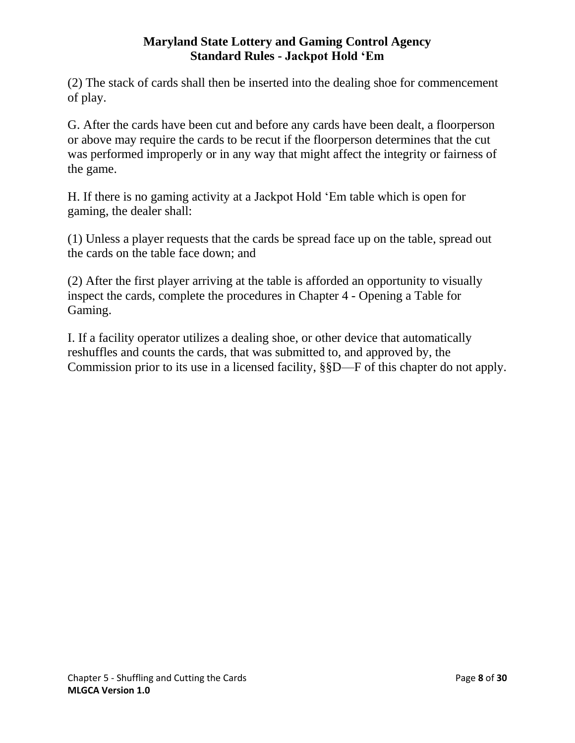(2) The stack of cards shall then be inserted into the dealing shoe for commencement of play.

G. After the cards have been cut and before any cards have been dealt, a floorperson or above may require the cards to be recut if the floorperson determines that the cut was performed improperly or in any way that might affect the integrity or fairness of the game.

H. If there is no gaming activity at a Jackpot Hold 'Em table which is open for gaming, the dealer shall:

(1) Unless a player requests that the cards be spread face up on the table, spread out the cards on the table face down; and

(2) After the first player arriving at the table is afforded an opportunity to visually inspect the cards, complete the procedures in Chapter 4 - Opening a Table for Gaming.

<span id="page-7-0"></span>I. If a facility operator utilizes a dealing shoe, or other device that automatically reshuffles and counts the cards, that was submitted to, and approved by, the Commission prior to its use in a licensed facility, §§D—F of this chapter do not apply.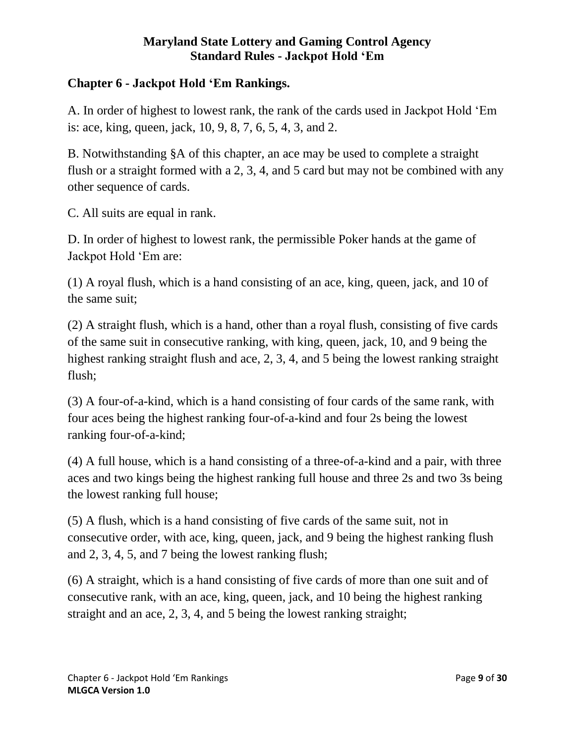## **Chapter 6 - Jackpot Hold 'Em Rankings.**

A. In order of highest to lowest rank, the rank of the cards used in Jackpot Hold 'Em is: ace, king, queen, jack, 10, 9, 8, 7, 6, 5, 4, 3, and 2.

B. Notwithstanding §A of this chapter, an ace may be used to complete a straight flush or a straight formed with a 2, 3, 4, and 5 card but may not be combined with any other sequence of cards.

C. All suits are equal in rank.

D. In order of highest to lowest rank, the permissible Poker hands at the game of Jackpot Hold 'Em are:

<span id="page-8-0"></span>(1) A royal flush, which is a hand consisting of an ace, king, queen, jack, and 10 of the same suit;

(2) A straight flush, which is a hand, other than a royal flush, consisting of five cards of the same suit in consecutive ranking, with king, queen, jack, 10, and 9 being the highest ranking straight flush and ace, 2, 3, 4, and 5 being the lowest ranking straight flush;

(3) A four-of-a-kind, which is a hand consisting of four cards of the same rank, with four aces being the highest ranking four-of-a-kind and four 2s being the lowest ranking four-of-a-kind;

(4) A full house, which is a hand consisting of a three-of-a-kind and a pair, with three aces and two kings being the highest ranking full house and three 2s and two 3s being the lowest ranking full house;

(5) A flush, which is a hand consisting of five cards of the same suit, not in consecutive order, with ace, king, queen, jack, and 9 being the highest ranking flush and 2, 3, 4, 5, and 7 being the lowest ranking flush;

(6) A straight, which is a hand consisting of five cards of more than one suit and of consecutive rank, with an ace, king, queen, jack, and 10 being the highest ranking straight and an ace, 2, 3, 4, and 5 being the lowest ranking straight;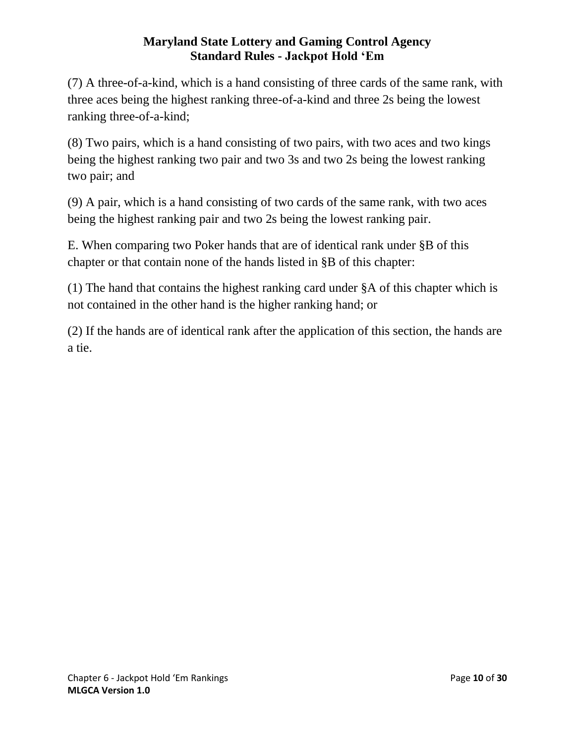(7) A three-of-a-kind, which is a hand consisting of three cards of the same rank, with three aces being the highest ranking three-of-a-kind and three 2s being the lowest ranking three-of-a-kind;

(8) Two pairs, which is a hand consisting of two pairs, with two aces and two kings being the highest ranking two pair and two 3s and two 2s being the lowest ranking two pair; and

(9) A pair, which is a hand consisting of two cards of the same rank, with two aces being the highest ranking pair and two 2s being the lowest ranking pair.

E. When comparing two Poker hands that are of identical rank under §B of this chapter or that contain none of the hands listed in §B of this chapter:

(1) The hand that contains the highest ranking card under §A of this chapter which is not contained in the other hand is the higher ranking hand; or

(2) If the hands are of identical rank after the application of this section, the hands are a tie.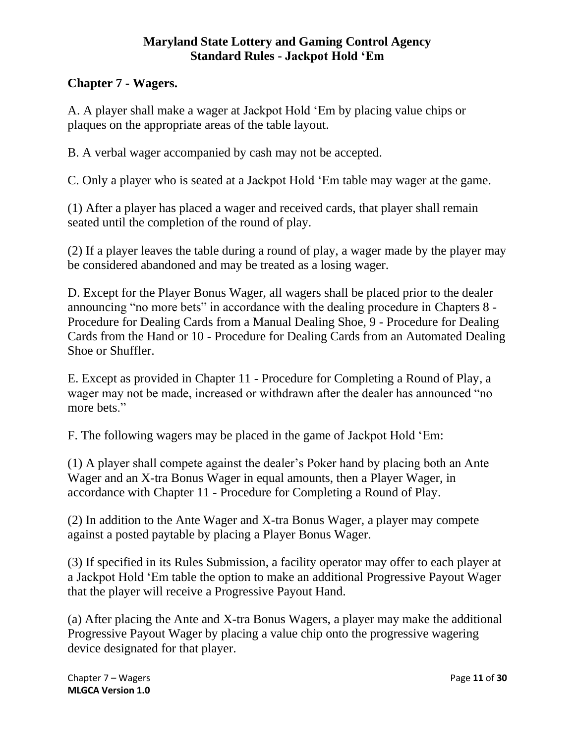# **Chapter 7 - Wagers.**

A. A player shall make a wager at Jackpot Hold 'Em by placing value chips or plaques on the appropriate areas of the table layout.

B. A verbal wager accompanied by cash may not be accepted.

C. Only a player who is seated at a Jackpot Hold 'Em table may wager at the game.

(1) After a player has placed a wager and received cards, that player shall remain seated until the completion of the round of play.

(2) If a player leaves the table during a round of play, a wager made by the player may be considered abandoned and may be treated as a losing wager.

D. Except for the Player Bonus Wager, all wagers shall be placed prior to the dealer announcing "no more bets" in accordance with the dealing procedure in Chapters 8 - Procedure for Dealing Cards from a Manual Dealing Shoe, 9 - Procedure for Dealing Cards from the Hand or 10 - Procedure for Dealing Cards from an Automated Dealing Shoe or Shuffler.

E. Except as provided in Chapter 11 - Procedure for Completing a Round of Play, a wager may not be made, increased or withdrawn after the dealer has announced "no more bets."

F. The following wagers may be placed in the game of Jackpot Hold 'Em:

(1) A player shall compete against the dealer's Poker hand by placing both an Ante Wager and an X-tra Bonus Wager in equal amounts, then a Player Wager, in accordance with Chapter 11 - Procedure for Completing a Round of Play.

(2) In addition to the Ante Wager and X-tra Bonus Wager, a player may compete against a posted paytable by placing a Player Bonus Wager.

(3) If specified in its Rules Submission, a facility operator may offer to each player at a Jackpot Hold 'Em table the option to make an additional Progressive Payout Wager that the player will receive a Progressive Payout Hand.

(a) After placing the Ante and X-tra Bonus Wagers, a player may make the additional Progressive Payout Wager by placing a value chip onto the progressive wagering device designated for that player.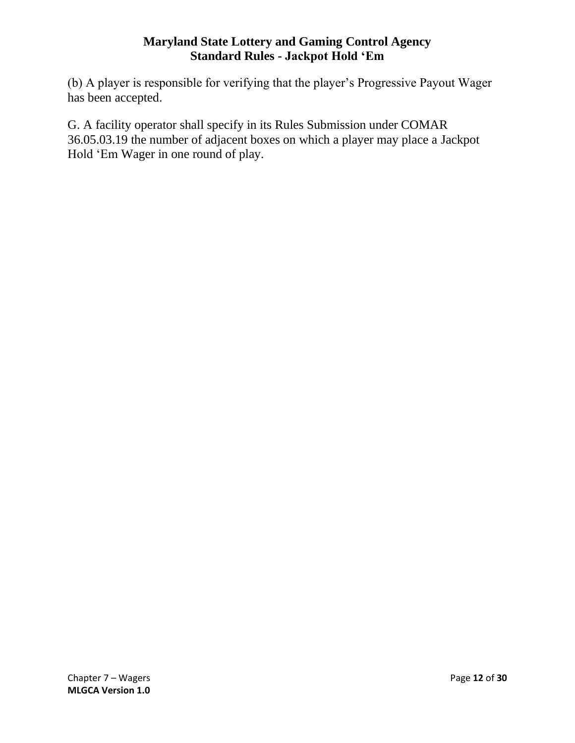(b) A player is responsible for verifying that the player's Progressive Payout Wager has been accepted.

<span id="page-11-0"></span>G. A facility operator shall specify in its Rules Submission under COMAR 36.05.03.19 the number of adjacent boxes on which a player may place a Jackpot Hold 'Em Wager in one round of play.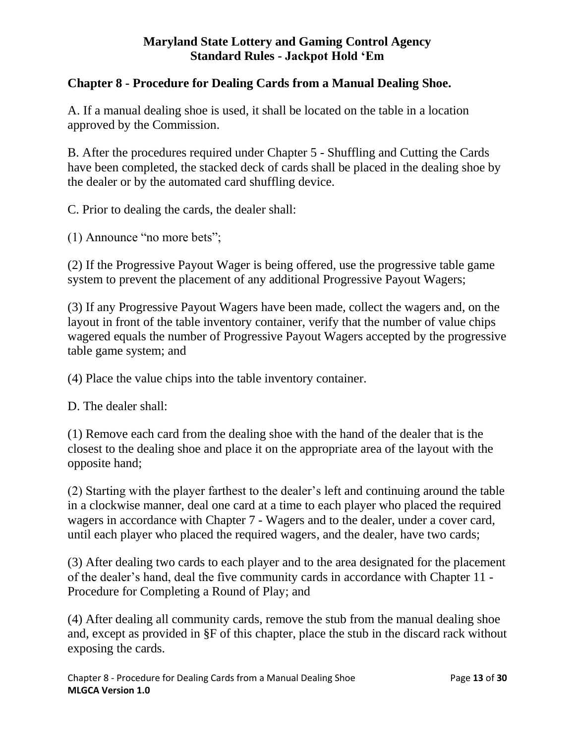## **Chapter 8 - Procedure for Dealing Cards from a Manual Dealing Shoe.**

A. If a manual dealing shoe is used, it shall be located on the table in a location approved by the Commission.

B. After the procedures required under Chapter 5 - Shuffling and Cutting the Cards have been completed, the stacked deck of cards shall be placed in the dealing shoe by the dealer or by the automated card shuffling device.

C. Prior to dealing the cards, the dealer shall:

(1) Announce "no more bets";

(2) If the Progressive Payout Wager is being offered, use the progressive table game system to prevent the placement of any additional Progressive Payout Wagers;

(3) If any Progressive Payout Wagers have been made, collect the wagers and, on the layout in front of the table inventory container, verify that the number of value chips wagered equals the number of Progressive Payout Wagers accepted by the progressive table game system; and

(4) Place the value chips into the table inventory container.

D. The dealer shall:

(1) Remove each card from the dealing shoe with the hand of the dealer that is the closest to the dealing shoe and place it on the appropriate area of the layout with the opposite hand;

(2) Starting with the player farthest to the dealer's left and continuing around the table in a clockwise manner, deal one card at a time to each player who placed the required wagers in accordance with Chapter 7 - Wagers and to the dealer, under a cover card, until each player who placed the required wagers, and the dealer, have two cards;

(3) After dealing two cards to each player and to the area designated for the placement of the dealer's hand, deal the five community cards in accordance with Chapter 11 - Procedure for Completing a Round of Play; and

(4) After dealing all community cards, remove the stub from the manual dealing shoe and, except as provided in §F of this chapter, place the stub in the discard rack without exposing the cards.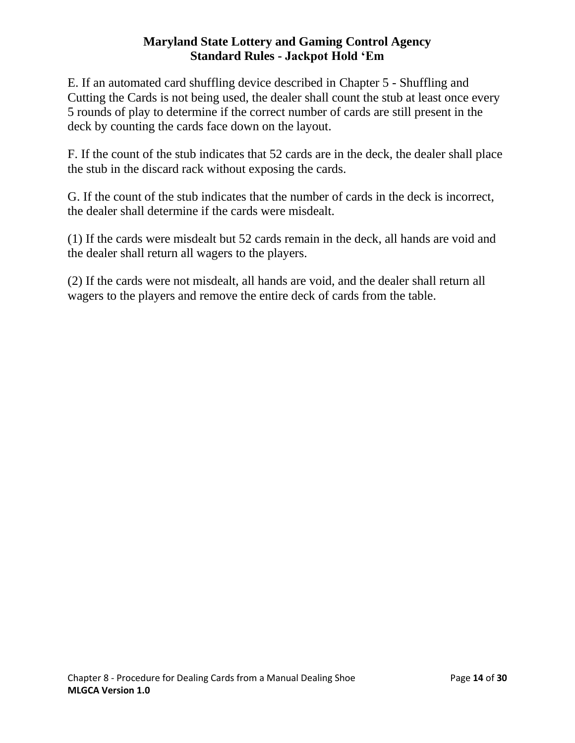E. If an automated card shuffling device described in Chapter 5 - Shuffling and Cutting the Cards is not being used, the dealer shall count the stub at least once every 5 rounds of play to determine if the correct number of cards are still present in the deck by counting the cards face down on the layout.

F. If the count of the stub indicates that 52 cards are in the deck, the dealer shall place the stub in the discard rack without exposing the cards.

G. If the count of the stub indicates that the number of cards in the deck is incorrect, the dealer shall determine if the cards were misdealt.

(1) If the cards were misdealt but 52 cards remain in the deck, all hands are void and the dealer shall return all wagers to the players.

<span id="page-13-0"></span>(2) If the cards were not misdealt, all hands are void, and the dealer shall return all wagers to the players and remove the entire deck of cards from the table.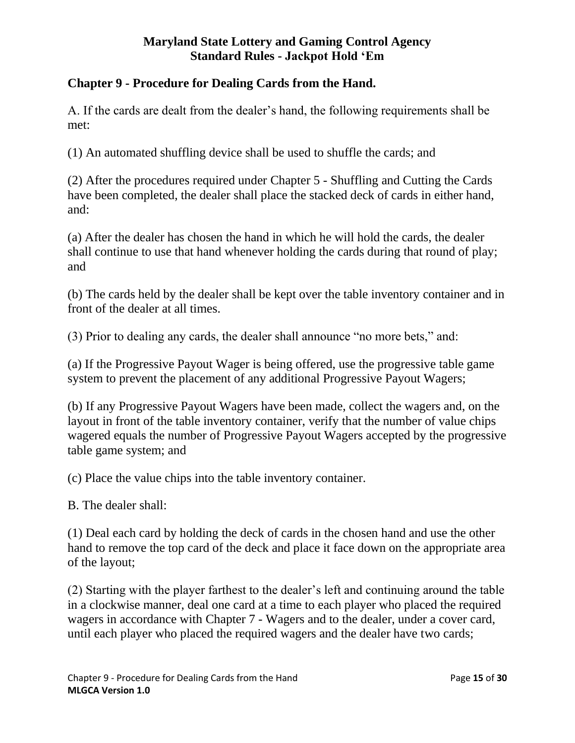## **Chapter 9 - Procedure for Dealing Cards from the Hand.**

A. If the cards are dealt from the dealer's hand, the following requirements shall be met:

(1) An automated shuffling device shall be used to shuffle the cards; and

(2) After the procedures required under Chapter 5 - Shuffling and Cutting the Cards have been completed, the dealer shall place the stacked deck of cards in either hand, and:

(a) After the dealer has chosen the hand in which he will hold the cards, the dealer shall continue to use that hand whenever holding the cards during that round of play; and

(b) The cards held by the dealer shall be kept over the table inventory container and in front of the dealer at all times.

(3) Prior to dealing any cards, the dealer shall announce "no more bets," and:

(a) If the Progressive Payout Wager is being offered, use the progressive table game system to prevent the placement of any additional Progressive Payout Wagers;

(b) If any Progressive Payout Wagers have been made, collect the wagers and, on the layout in front of the table inventory container, verify that the number of value chips wagered equals the number of Progressive Payout Wagers accepted by the progressive table game system; and

(c) Place the value chips into the table inventory container.

B. The dealer shall:

(1) Deal each card by holding the deck of cards in the chosen hand and use the other hand to remove the top card of the deck and place it face down on the appropriate area of the layout;

(2) Starting with the player farthest to the dealer's left and continuing around the table in a clockwise manner, deal one card at a time to each player who placed the required wagers in accordance with Chapter 7 - Wagers and to the dealer, under a cover card, until each player who placed the required wagers and the dealer have two cards;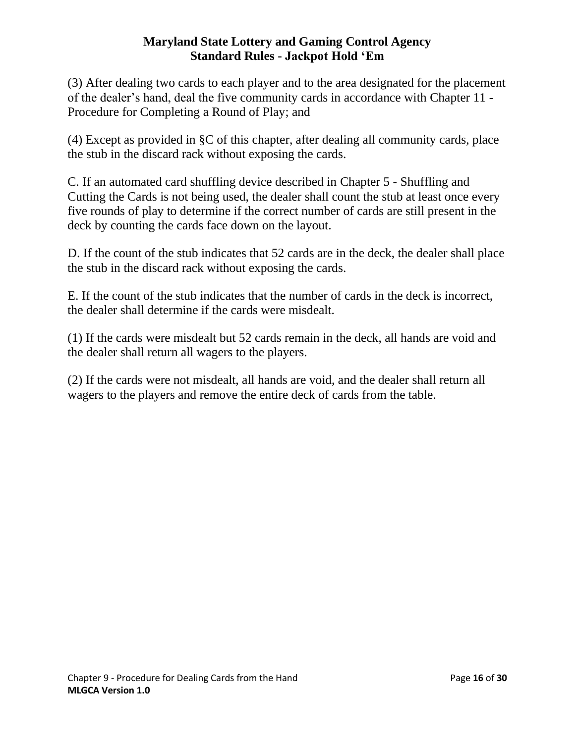(3) After dealing two cards to each player and to the area designated for the placement of the dealer's hand, deal the five community cards in accordance with Chapter 11 - Procedure for Completing a Round of Play; and

(4) Except as provided in §C of this chapter, after dealing all community cards, place the stub in the discard rack without exposing the cards.

C. If an automated card shuffling device described in Chapter 5 - Shuffling and Cutting the Cards is not being used, the dealer shall count the stub at least once every five rounds of play to determine if the correct number of cards are still present in the deck by counting the cards face down on the layout.

D. If the count of the stub indicates that 52 cards are in the deck, the dealer shall place the stub in the discard rack without exposing the cards.

E. If the count of the stub indicates that the number of cards in the deck is incorrect, the dealer shall determine if the cards were misdealt.

(1) If the cards were misdealt but 52 cards remain in the deck, all hands are void and the dealer shall return all wagers to the players.

<span id="page-15-0"></span>(2) If the cards were not misdealt, all hands are void, and the dealer shall return all wagers to the players and remove the entire deck of cards from the table.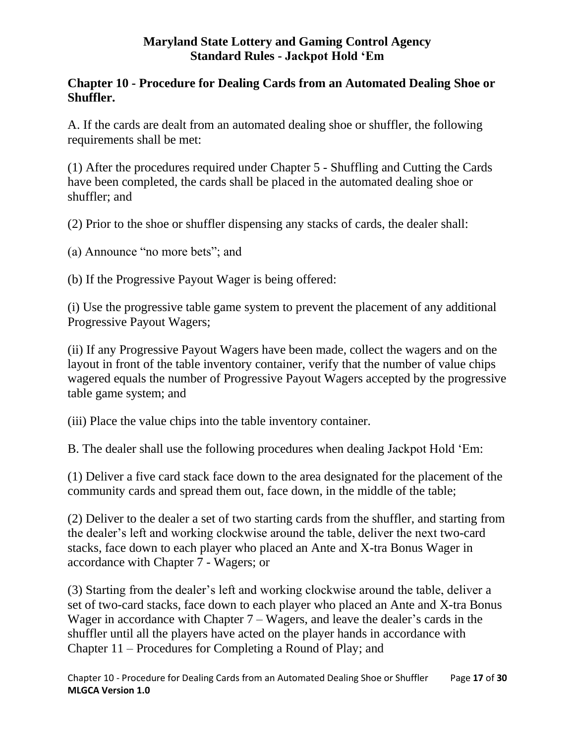## **Chapter 10 - Procedure for Dealing Cards from an Automated Dealing Shoe or Shuffler.**

A. If the cards are dealt from an automated dealing shoe or shuffler, the following requirements shall be met:

(1) After the procedures required under Chapter 5 - Shuffling and Cutting the Cards have been completed, the cards shall be placed in the automated dealing shoe or shuffler; and

(2) Prior to the shoe or shuffler dispensing any stacks of cards, the dealer shall:

(a) Announce "no more bets"; and

(b) If the Progressive Payout Wager is being offered:

(i) Use the progressive table game system to prevent the placement of any additional Progressive Payout Wagers;

(ii) If any Progressive Payout Wagers have been made, collect the wagers and on the layout in front of the table inventory container, verify that the number of value chips wagered equals the number of Progressive Payout Wagers accepted by the progressive table game system; and

(iii) Place the value chips into the table inventory container.

B. The dealer shall use the following procedures when dealing Jackpot Hold 'Em:

(1) Deliver a five card stack face down to the area designated for the placement of the community cards and spread them out, face down, in the middle of the table;

(2) Deliver to the dealer a set of two starting cards from the shuffler, and starting from the dealer's left and working clockwise around the table, deliver the next two-card stacks, face down to each player who placed an Ante and X-tra Bonus Wager in accordance with Chapter 7 - Wagers; or

(3) Starting from the dealer's left and working clockwise around the table, deliver a set of two-card stacks, face down to each player who placed an Ante and X-tra Bonus Wager in accordance with Chapter 7 – Wagers, and leave the dealer's cards in the shuffler until all the players have acted on the player hands in accordance with Chapter 11 – Procedures for Completing a Round of Play; and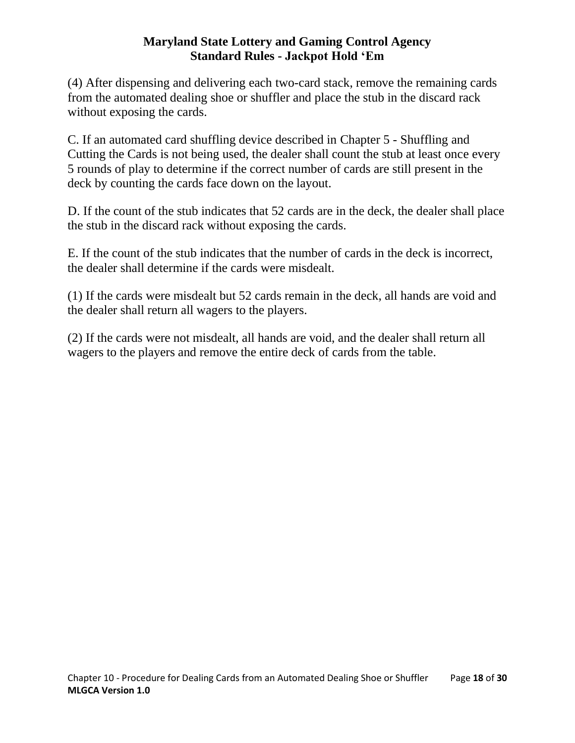(4) After dispensing and delivering each two-card stack, remove the remaining cards from the automated dealing shoe or shuffler and place the stub in the discard rack without exposing the cards.

C. If an automated card shuffling device described in Chapter 5 - Shuffling and Cutting the Cards is not being used, the dealer shall count the stub at least once every 5 rounds of play to determine if the correct number of cards are still present in the deck by counting the cards face down on the layout.

D. If the count of the stub indicates that 52 cards are in the deck, the dealer shall place the stub in the discard rack without exposing the cards.

E. If the count of the stub indicates that the number of cards in the deck is incorrect, the dealer shall determine if the cards were misdealt.

(1) If the cards were misdealt but 52 cards remain in the deck, all hands are void and the dealer shall return all wagers to the players.

<span id="page-17-0"></span>(2) If the cards were not misdealt, all hands are void, and the dealer shall return all wagers to the players and remove the entire deck of cards from the table.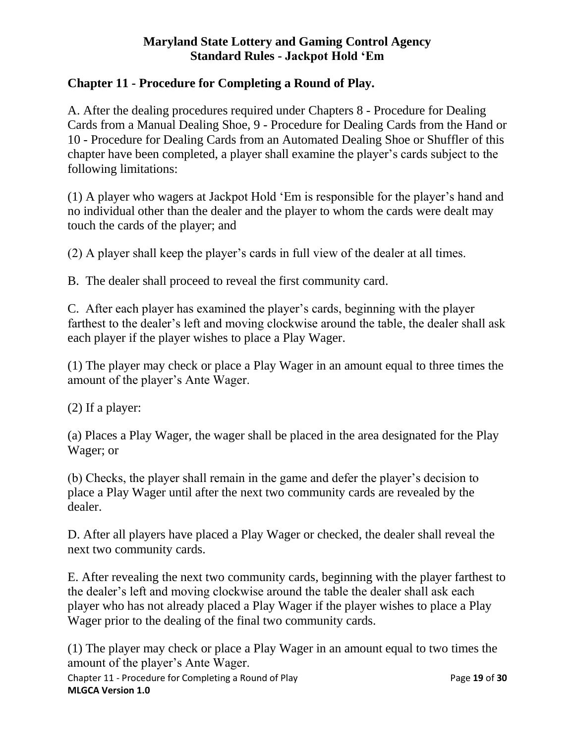## **Chapter 11 - Procedure for Completing a Round of Play.**

A. After the dealing procedures required under Chapters 8 - Procedure for Dealing Cards from a Manual Dealing Shoe, 9 - Procedure for Dealing Cards from the Hand or 10 - Procedure for Dealing Cards from an Automated Dealing Shoe or Shuffler of this chapter have been completed, a player shall examine the player's cards subject to the following limitations:

(1) A player who wagers at Jackpot Hold 'Em is responsible for the player's hand and no individual other than the dealer and the player to whom the cards were dealt may touch the cards of the player; and

(2) A player shall keep the player's cards in full view of the dealer at all times.

B. The dealer shall proceed to reveal the first community card.

C. After each player has examined the player's cards, beginning with the player farthest to the dealer's left and moving clockwise around the table, the dealer shall ask each player if the player wishes to place a Play Wager.

(1) The player may check or place a Play Wager in an amount equal to three times the amount of the player's Ante Wager.

(2) If a player:

(a) Places a Play Wager, the wager shall be placed in the area designated for the Play Wager; or

(b) Checks, the player shall remain in the game and defer the player's decision to place a Play Wager until after the next two community cards are revealed by the dealer.

D. After all players have placed a Play Wager or checked, the dealer shall reveal the next two community cards.

E. After revealing the next two community cards, beginning with the player farthest to the dealer's left and moving clockwise around the table the dealer shall ask each player who has not already placed a Play Wager if the player wishes to place a Play Wager prior to the dealing of the final two community cards.

Chapter 11 - Procedure for Completing a Round of Play Page **19** of **30 MLGCA Version 1.0** (1) The player may check or place a Play Wager in an amount equal to two times the amount of the player's Ante Wager.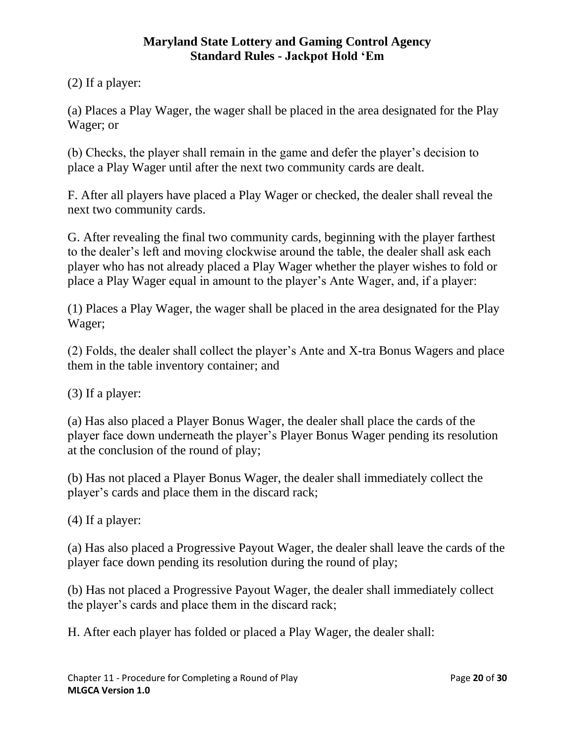(2) If a player:

(a) Places a Play Wager, the wager shall be placed in the area designated for the Play Wager; or

(b) Checks, the player shall remain in the game and defer the player's decision to place a Play Wager until after the next two community cards are dealt.

F. After all players have placed a Play Wager or checked, the dealer shall reveal the next two community cards.

G. After revealing the final two community cards, beginning with the player farthest to the dealer's left and moving clockwise around the table, the dealer shall ask each player who has not already placed a Play Wager whether the player wishes to fold or place a Play Wager equal in amount to the player's Ante Wager, and, if a player:

(1) Places a Play Wager, the wager shall be placed in the area designated for the Play Wager;

(2) Folds, the dealer shall collect the player's Ante and X-tra Bonus Wagers and place them in the table inventory container; and

(3) If a player:

(a) Has also placed a Player Bonus Wager, the dealer shall place the cards of the player face down underneath the player's Player Bonus Wager pending its resolution at the conclusion of the round of play;

(b) Has not placed a Player Bonus Wager, the dealer shall immediately collect the player's cards and place them in the discard rack;

(4) If a player:

(a) Has also placed a Progressive Payout Wager, the dealer shall leave the cards of the player face down pending its resolution during the round of play;

(b) Has not placed a Progressive Payout Wager, the dealer shall immediately collect the player's cards and place them in the discard rack;

H. After each player has folded or placed a Play Wager, the dealer shall: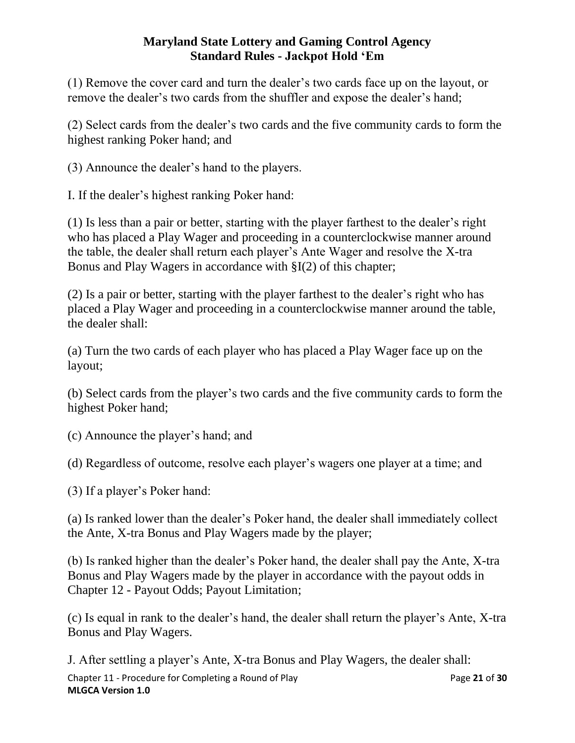(1) Remove the cover card and turn the dealer's two cards face up on the layout, or remove the dealer's two cards from the shuffler and expose the dealer's hand;

(2) Select cards from the dealer's two cards and the five community cards to form the highest ranking Poker hand; and

(3) Announce the dealer's hand to the players.

I. If the dealer's highest ranking Poker hand:

(1) Is less than a pair or better, starting with the player farthest to the dealer's right who has placed a Play Wager and proceeding in a counterclockwise manner around the table, the dealer shall return each player's Ante Wager and resolve the X-tra Bonus and Play Wagers in accordance with §I(2) of this chapter;

(2) Is a pair or better, starting with the player farthest to the dealer's right who has placed a Play Wager and proceeding in a counterclockwise manner around the table, the dealer shall:

(a) Turn the two cards of each player who has placed a Play Wager face up on the layout;

(b) Select cards from the player's two cards and the five community cards to form the highest Poker hand;

(c) Announce the player's hand; and

(d) Regardless of outcome, resolve each player's wagers one player at a time; and

(3) If a player's Poker hand:

(a) Is ranked lower than the dealer's Poker hand, the dealer shall immediately collect the Ante, X-tra Bonus and Play Wagers made by the player;

(b) Is ranked higher than the dealer's Poker hand, the dealer shall pay the Ante, X-tra Bonus and Play Wagers made by the player in accordance with the payout odds in Chapter 12 - Payout Odds; Payout Limitation;

(c) Is equal in rank to the dealer's hand, the dealer shall return the player's Ante, X-tra Bonus and Play Wagers.

Chapter 11 - Procedure for Completing a Round of Play Page **21** of **30 MLGCA Version 1.0** J. After settling a player's Ante, X-tra Bonus and Play Wagers, the dealer shall: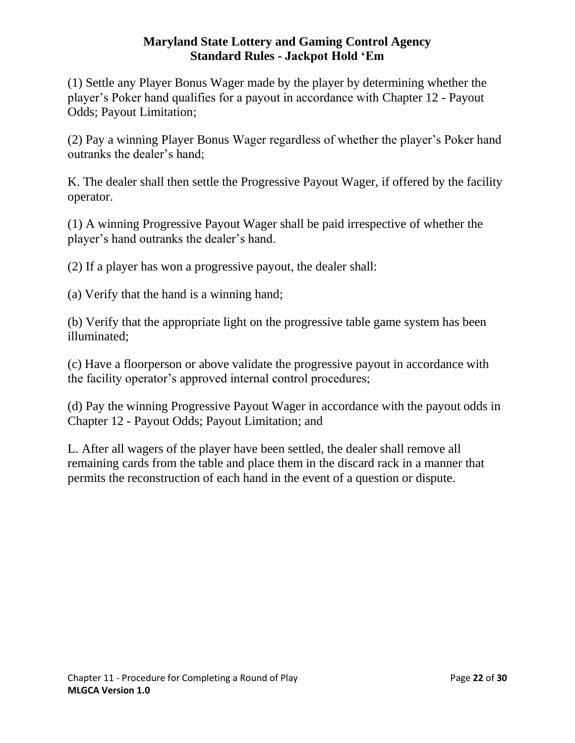(1) Settle any Player Bonus Wager made by the player by determining whether the player's Poker hand qualifies for a payout in accordance with Chapter 12 - Payout Odds; Payout Limitation;

(2) Pay a winning Player Bonus Wager regardless of whether the player's Poker hand outranks the dealer's hand;

K. The dealer shall then settle the Progressive Payout Wager, if offered by the facility operator.

(1) A winning Progressive Payout Wager shall be paid irrespective of whether the player's hand outranks the dealer's hand.

(2) If a player has won a progressive payout, the dealer shall:

(a) Verify that the hand is a winning hand;

(b) Verify that the appropriate light on the progressive table game system has been illuminated;

(c) Have a floorperson or above validate the progressive payout in accordance with the facility operator's approved internal control procedures;

(d) Pay the winning Progressive Payout Wager in accordance with the payout odds in Chapter 12 - Payout Odds; Payout Limitation; and

<span id="page-21-0"></span>L. After all wagers of the player have been settled, the dealer shall remove all remaining cards from the table and place them in the discard rack in a manner that permits the reconstruction of each hand in the event of a question or dispute.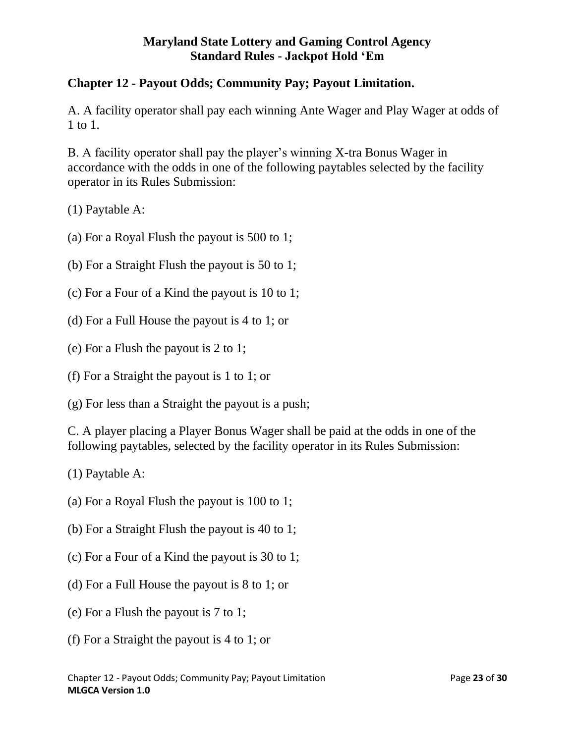# **Chapter 12 - Payout Odds; Community Pay; Payout Limitation.**

A. A facility operator shall pay each winning Ante Wager and Play Wager at odds of 1 to 1.

B. A facility operator shall pay the player's winning X-tra Bonus Wager in accordance with the odds in one of the following paytables selected by the facility operator in its Rules Submission:

(1) Paytable A:

- (a) For a Royal Flush the payout is 500 to 1;
- (b) For a Straight Flush the payout is 50 to 1;
- (c) For a Four of a Kind the payout is 10 to 1;
- (d) For a Full House the payout is 4 to 1; or
- (e) For a Flush the payout is 2 to 1;
- (f) For a Straight the payout is 1 to 1; or
- (g) For less than a Straight the payout is a push;

C. A player placing a Player Bonus Wager shall be paid at the odds in one of the following paytables, selected by the facility operator in its Rules Submission:

(1) Paytable A:

- (a) For a Royal Flush the payout is 100 to 1;
- (b) For a Straight Flush the payout is 40 to 1;
- (c) For a Four of a Kind the payout is 30 to 1;
- (d) For a Full House the payout is 8 to 1; or
- (e) For a Flush the payout is 7 to 1;
- (f) For a Straight the payout is 4 to 1; or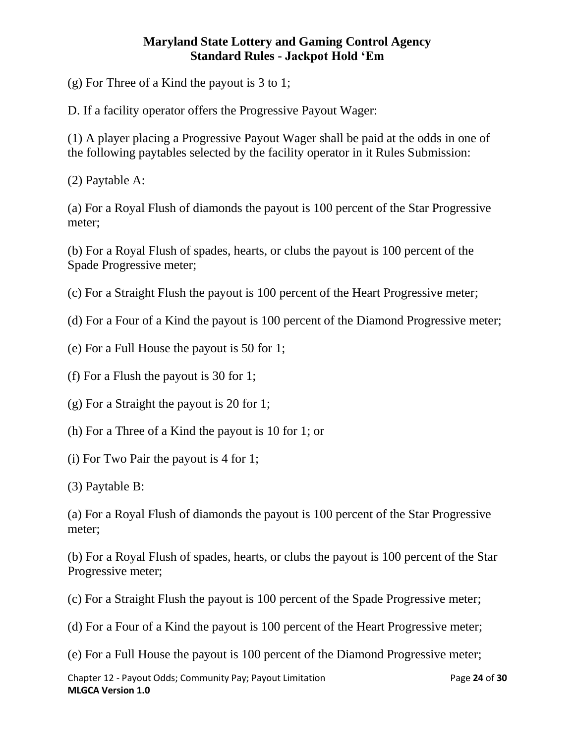(g) For Three of a Kind the payout is 3 to 1;

D. If a facility operator offers the Progressive Payout Wager:

(1) A player placing a Progressive Payout Wager shall be paid at the odds in one of the following paytables selected by the facility operator in it Rules Submission:

(2) Paytable A:

(a) For a Royal Flush of diamonds the payout is 100 percent of the Star Progressive meter;

(b) For a Royal Flush of spades, hearts, or clubs the payout is 100 percent of the Spade Progressive meter;

(c) For a Straight Flush the payout is 100 percent of the Heart Progressive meter;

(d) For a Four of a Kind the payout is 100 percent of the Diamond Progressive meter;

(e) For a Full House the payout is 50 for 1;

(f) For a Flush the payout is 30 for 1;

(g) For a Straight the payout is 20 for 1;

(h) For a Three of a Kind the payout is 10 for 1; or

(i) For Two Pair the payout is 4 for 1;

(3) Paytable B:

(a) For a Royal Flush of diamonds the payout is 100 percent of the Star Progressive meter;

(b) For a Royal Flush of spades, hearts, or clubs the payout is 100 percent of the Star Progressive meter;

(c) For a Straight Flush the payout is 100 percent of the Spade Progressive meter;

(d) For a Four of a Kind the payout is 100 percent of the Heart Progressive meter;

(e) For a Full House the payout is 100 percent of the Diamond Progressive meter;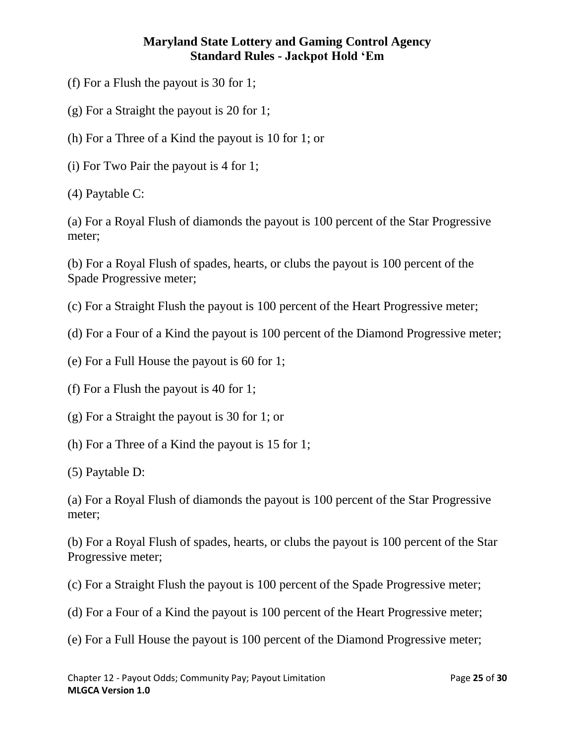- (f) For a Flush the payout is 30 for 1;
- (g) For a Straight the payout is 20 for 1;
- (h) For a Three of a Kind the payout is 10 for 1; or
- (i) For Two Pair the payout is 4 for 1;
- (4) Paytable C:

(a) For a Royal Flush of diamonds the payout is 100 percent of the Star Progressive meter;

(b) For a Royal Flush of spades, hearts, or clubs the payout is 100 percent of the Spade Progressive meter;

(c) For a Straight Flush the payout is 100 percent of the Heart Progressive meter;

(d) For a Four of a Kind the payout is 100 percent of the Diamond Progressive meter;

(e) For a Full House the payout is 60 for 1;

(f) For a Flush the payout is 40 for 1;

(g) For a Straight the payout is 30 for 1; or

- (h) For a Three of a Kind the payout is 15 for 1;
- (5) Paytable D:

(a) For a Royal Flush of diamonds the payout is 100 percent of the Star Progressive meter;

(b) For a Royal Flush of spades, hearts, or clubs the payout is 100 percent of the Star Progressive meter;

(c) For a Straight Flush the payout is 100 percent of the Spade Progressive meter;

- (d) For a Four of a Kind the payout is 100 percent of the Heart Progressive meter;
- (e) For a Full House the payout is 100 percent of the Diamond Progressive meter;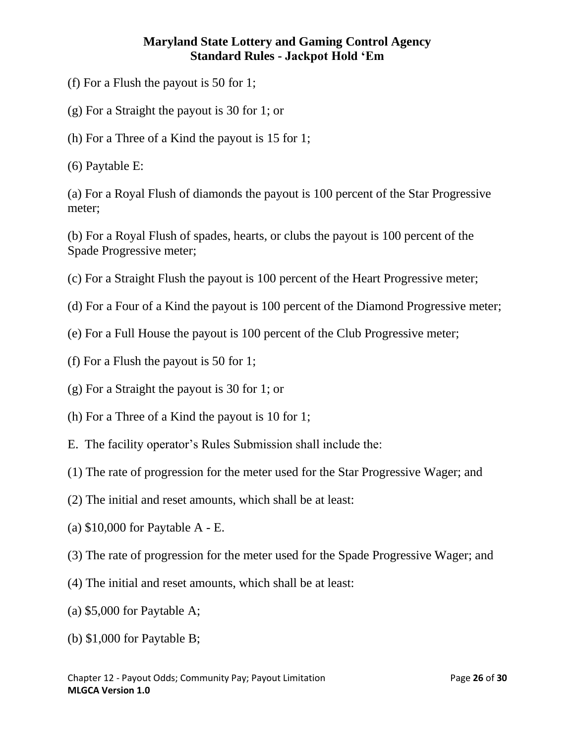- (f) For a Flush the payout is 50 for 1;
- (g) For a Straight the payout is 30 for 1; or
- (h) For a Three of a Kind the payout is 15 for 1;
- (6) Paytable E:

(a) For a Royal Flush of diamonds the payout is 100 percent of the Star Progressive meter;

(b) For a Royal Flush of spades, hearts, or clubs the payout is 100 percent of the Spade Progressive meter;

- (c) For a Straight Flush the payout is 100 percent of the Heart Progressive meter;
- (d) For a Four of a Kind the payout is 100 percent of the Diamond Progressive meter;
- (e) For a Full House the payout is 100 percent of the Club Progressive meter;
- (f) For a Flush the payout is 50 for 1;
- (g) For a Straight the payout is 30 for 1; or
- (h) For a Three of a Kind the payout is 10 for 1;
- E. The facility operator's Rules Submission shall include the:
- (1) The rate of progression for the meter used for the Star Progressive Wager; and
- (2) The initial and reset amounts, which shall be at least:
- (a) \$10,000 for Paytable A E.
- (3) The rate of progression for the meter used for the Spade Progressive Wager; and
- (4) The initial and reset amounts, which shall be at least:
- (a) \$5,000 for Paytable A;
- (b) \$1,000 for Paytable B;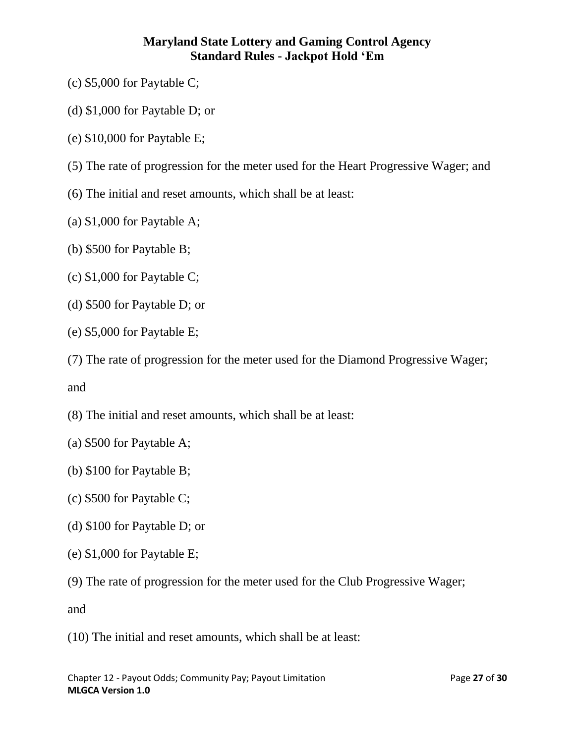- (c) \$5,000 for Paytable C;
- (d) \$1,000 for Paytable D; or
- (e) \$10,000 for Paytable E;
- (5) The rate of progression for the meter used for the Heart Progressive Wager; and
- (6) The initial and reset amounts, which shall be at least:
- (a) \$1,000 for Paytable A;
- (b) \$500 for Paytable B;
- (c) \$1,000 for Paytable C;
- (d) \$500 for Paytable D; or
- (e) \$5,000 for Paytable E;
- (7) The rate of progression for the meter used for the Diamond Progressive Wager;

and

- (8) The initial and reset amounts, which shall be at least:
- (a) \$500 for Paytable A;
- (b) \$100 for Paytable B;
- (c) \$500 for Paytable C;
- (d) \$100 for Paytable D; or
- (e) \$1,000 for Paytable E;
- (9) The rate of progression for the meter used for the Club Progressive Wager;

and

(10) The initial and reset amounts, which shall be at least: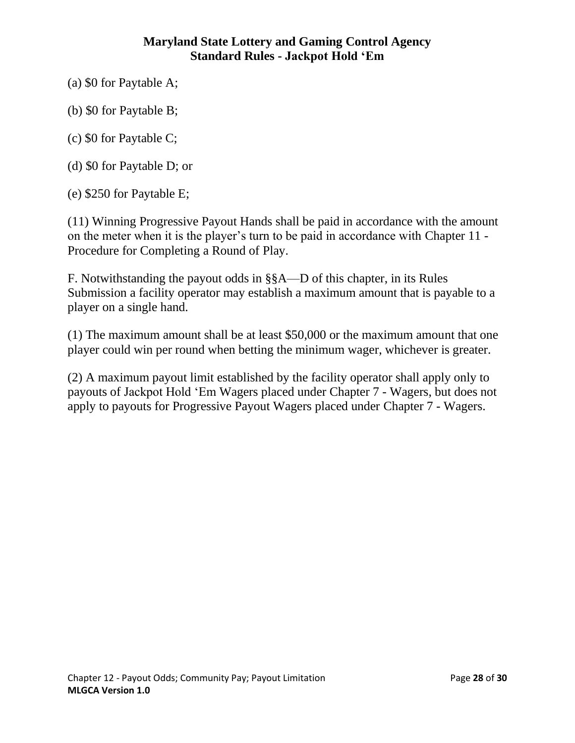- (a) \$0 for Paytable A;
- (b) \$0 for Paytable B;
- (c) \$0 for Paytable C;
- (d) \$0 for Paytable D; or
- (e) \$250 for Paytable E;

(11) Winning Progressive Payout Hands shall be paid in accordance with the amount on the meter when it is the player's turn to be paid in accordance with Chapter 11 - Procedure for Completing a Round of Play.

F. Notwithstanding the payout odds in §§A—D of this chapter, in its Rules Submission a facility operator may establish a maximum amount that is payable to a player on a single hand.

(1) The maximum amount shall be at least \$50,000 or the maximum amount that one player could win per round when betting the minimum wager, whichever is greater.

<span id="page-27-0"></span>(2) A maximum payout limit established by the facility operator shall apply only to payouts of Jackpot Hold 'Em Wagers placed under Chapter 7 - Wagers, but does not apply to payouts for Progressive Payout Wagers placed under Chapter 7 - Wagers.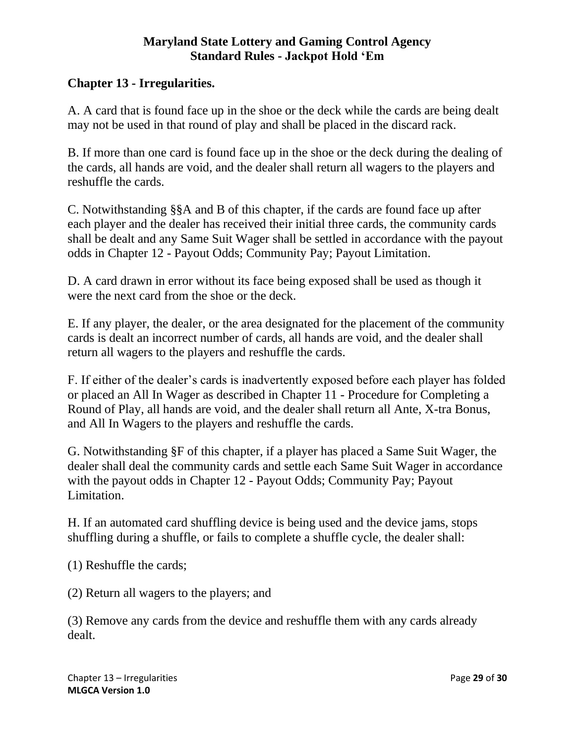## **Chapter 13 - Irregularities.**

A. A card that is found face up in the shoe or the deck while the cards are being dealt may not be used in that round of play and shall be placed in the discard rack.

B. If more than one card is found face up in the shoe or the deck during the dealing of the cards, all hands are void, and the dealer shall return all wagers to the players and reshuffle the cards.

C. Notwithstanding §§A and B of this chapter, if the cards are found face up after each player and the dealer has received their initial three cards, the community cards shall be dealt and any Same Suit Wager shall be settled in accordance with the payout odds in Chapter 12 - Payout Odds; Community Pay; Payout Limitation.

D. A card drawn in error without its face being exposed shall be used as though it were the next card from the shoe or the deck.

E. If any player, the dealer, or the area designated for the placement of the community cards is dealt an incorrect number of cards, all hands are void, and the dealer shall return all wagers to the players and reshuffle the cards.

F. If either of the dealer's cards is inadvertently exposed before each player has folded or placed an All In Wager as described in Chapter 11 - Procedure for Completing a Round of Play, all hands are void, and the dealer shall return all Ante, X-tra Bonus, and All In Wagers to the players and reshuffle the cards.

G. Notwithstanding §F of this chapter, if a player has placed a Same Suit Wager, the dealer shall deal the community cards and settle each Same Suit Wager in accordance with the payout odds in Chapter 12 - Payout Odds; Community Pay; Payout Limitation.

H. If an automated card shuffling device is being used and the device jams, stops shuffling during a shuffle, or fails to complete a shuffle cycle, the dealer shall:

(1) Reshuffle the cards;

(2) Return all wagers to the players; and

(3) Remove any cards from the device and reshuffle them with any cards already dealt.